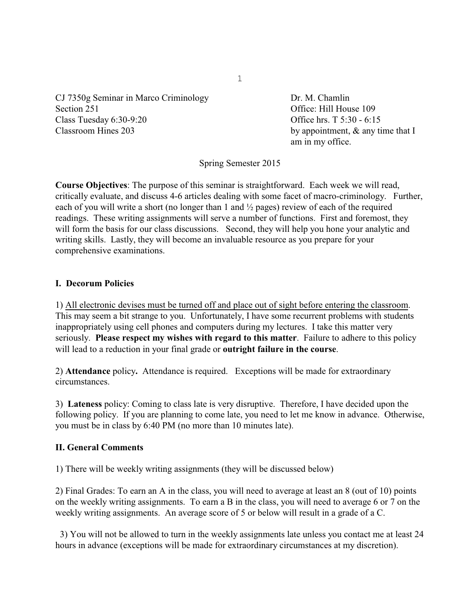CJ 7350g Seminar in Marco Criminology Dr. M. Chamlin Section 251 Contract Contract Contract Contract Contract Contract Contract Office: Hill House 109 Class Tuesday 6:30-9:20 Office hrs. T 5:30 - 6:15 Classroom Hines 203 by appointment, & any time that I

am in my office.

Spring Semester 2015

**Course Objectives**: The purpose of this seminar is straightforward. Each week we will read, critically evaluate, and discuss 4-6 articles dealing with some facet of macro-criminology. Further, each of you will write a short (no longer than 1 and ½ pages) review of each of the required readings. These writing assignments will serve a number of functions. First and foremost, they will form the basis for our class discussions. Second, they will help you hone your analytic and writing skills. Lastly, they will become an invaluable resource as you prepare for your comprehensive examinations.

## **I. Decorum Policies**

1) All electronic devises must be turned off and place out of sight before entering the classroom. This may seem a bit strange to you. Unfortunately, I have some recurrent problems with students inappropriately using cell phones and computers during my lectures. I take this matter very seriously. **Please respect my wishes with regard to this matter**. Failure to adhere to this policy will lead to a reduction in your final grade or **outright failure in the course**.

2) **Attendance** policy**.** Attendance is required. Exceptions will be made for extraordinary circumstances.

3) **Lateness** policy: Coming to class late is very disruptive. Therefore, I have decided upon the following policy. If you are planning to come late, you need to let me know in advance. Otherwise, you must be in class by 6:40 PM (no more than 10 minutes late).

## **II. General Comments**

1) There will be weekly writing assignments (they will be discussed below)

2) Final Grades: To earn an A in the class, you will need to average at least an 8 (out of 10) points on the weekly writing assignments. To earn a B in the class, you will need to average 6 or 7 on the weekly writing assignments. An average score of 5 or below will result in a grade of a C.

 3) You will not be allowed to turn in the weekly assignments late unless you contact me at least 24 hours in advance (exceptions will be made for extraordinary circumstances at my discretion).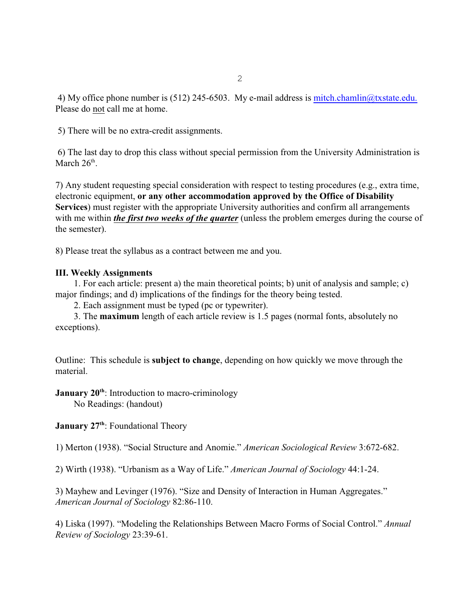4) My office phone number is (512) 245-6503. My e-mail address is [mitch.chamlin@txstate.edu.](mailto:mitchell.chamlin@uc.edu.) Please do not call me at home.

5) There will be no extra-credit assignments.

 6) The last day to drop this class without special permission from the University Administration is March  $26<sup>th</sup>$ .

7) Any student requesting special consideration with respect to testing procedures (e.g., extra time, electronic equipment, **or any other accommodation approved by the Office of Disability Services**) must register with the appropriate University authorities and confirm all arrangements with me within *the first two weeks of the quarter* (unless the problem emerges during the course of the semester).

8) Please treat the syllabus as a contract between me and you.

# **III. Weekly Assignments**

1. For each article: present a) the main theoretical points; b) unit of analysis and sample; c) major findings; and d) implications of the findings for the theory being tested.

2. Each assignment must be typed (pc or typewriter).

3. The **maximum** length of each article review is 1.5 pages (normal fonts, absolutely no exceptions).

Outline: This schedule is **subject to change**, depending on how quickly we move through the material.

**January 20<sup>th</sup>:** Introduction to macro-criminology No Readings: (handout)

**January 27<sup>th</sup>: Foundational Theory** 

1) Merton (1938). "Social Structure and Anomie." *American Sociological Review* 3:672-682.

2) Wirth (1938). "Urbanism as a Way of Life." *American Journal of Sociology* 44:1-24.

3) Mayhew and Levinger (1976). "Size and Density of Interaction in Human Aggregates." *American Journal of Sociology* 82:86-110.

4) Liska (1997). "Modeling the Relationships Between Macro Forms of Social Control." *Annual Review of Sociology* 23:39-61.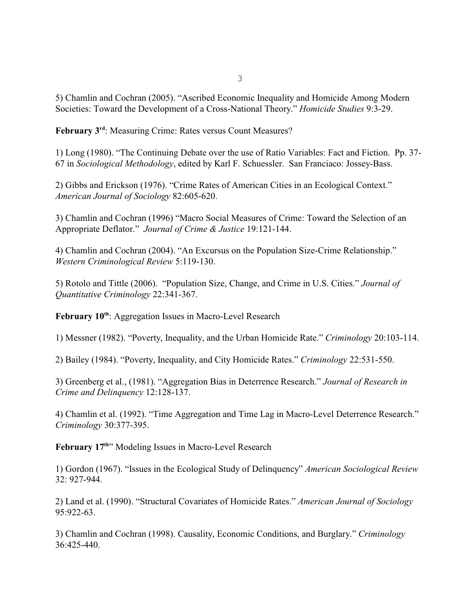5) Chamlin and Cochran (2005). "Ascribed Economic Inequality and Homicide Among Modern Societies: Toward the Development of a Cross-National Theory." *Homicide Studies* 9:3-29.

**February 3<sup>rd</sup>: Measuring Crime: Rates versus Count Measures?** 

1) Long (1980). "The Continuing Debate over the use of Ratio Variables: Fact and Fiction. Pp. 37- 67 in *Sociological Methodology*, edited by Karl F. Schuessler. San Franciaco: Jossey-Bass.

2) Gibbs and Erickson (1976). "Crime Rates of American Cities in an Ecological Context." *American Journal of Sociology* 82:605-620.

3) Chamlin and Cochran (1996) "Macro Social Measures of Crime: Toward the Selection of an Appropriate Deflator." *Journal of Crime & Justice* 19:121-144.

4) Chamlin and Cochran (2004). "An Excursus on the Population Size-Crime Relationship." *Western Criminological Review* 5:119-130.

5) Rotolo and Tittle (2006). "Population Size, Change, and Crime in U.S. Cities." *Journal of Quantitative Criminology* 22:341-367.

February 10<sup>th</sup>: Aggregation Issues in Macro-Level Research

1) Messner (1982). "Poverty, Inequality, and the Urban Homicide Rate." *Criminology* 20:103-114.

2) Bailey (1984). "Poverty, Inequality, and City Homicide Rates." *Criminology* 22:531-550.

3) Greenberg et al., (1981). "Aggregation Bias in Deterrence Research." *Journal of Research in Crime and Delinquency* 12:128-137.

4) Chamlin et al. (1992). "Time Aggregation and Time Lag in Macro-Level Deterrence Research." *Criminology* 30:377-395.

February 17<sup>th</sup>" Modeling Issues in Macro-Level Research

1) Gordon (1967). "Issues in the Ecological Study of Delinquency" *American Sociological Review* 32: 927-944.

2) Land et al. (1990). "Structural Covariates of Homicide Rates." *American Journal of Sociology* 95:922-63.

3) Chamlin and Cochran (1998). Causality, Economic Conditions, and Burglary." *Criminology* 36:425-440.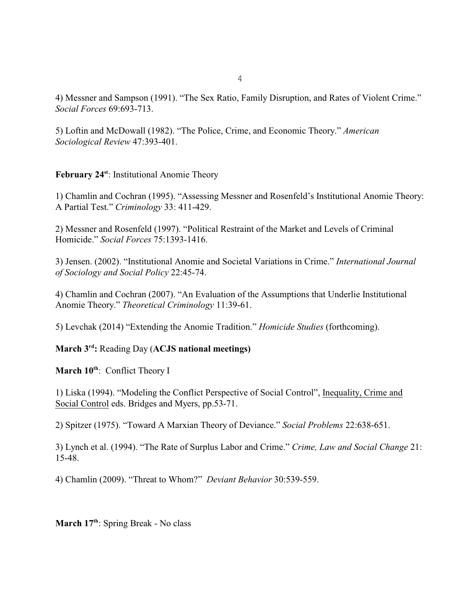4) Messner and Sampson (1991). "The Sex Ratio, Family Disruption, and Rates of Violent Crime." *Social Forces* 69:693-713.

5) Loftin and McDowall (1982). "The Police, Crime, and Economic Theory." *American Sociological Review* 47:393-401.

February 24<sup>st</sup>: Institutional Anomie Theory

1) Chamlin and Cochran (1995). "Assessing Messner and Rosenfeld's Institutional Anomie Theory: A Partial Test." *Criminology* 33: 411-429.

2) Messner and Rosenfeld (1997). "Political Restraint of the Market and Levels of Criminal Homicide." *Social Forces* 75:1393-1416.

3) Jensen. (2002). "Institutional Anomie and Societal Variations in Crime." *International Journal of Sociology and Social Policy* 22:45-74.

4) Chamlin and Cochran (2007). "An Evaluation of the Assumptions that Underlie Institutional Anomie Theory." *Theoretical Criminology* 11:39-61.

5) Levchak (2014) "Extending the Anomie Tradition." *Homicide Studies* (forthcoming).

**March 3<sup>rd</sup>: Reading Day (ACJS national meetings)** 

**March 10<sup>th</sup>: Conflict Theory I** 

1) Liska (1994). "Modeling the Conflict Perspective of Social Control", Inequality, Crime and Social Control eds. Bridges and Myers, pp.53-71.

2) Spitzer (1975). "Toward A Marxian Theory of Deviance." *Social Problems* 22:638-651.

3) Lynch et al. (1994). "The Rate of Surplus Labor and Crime." *Crime, Law and Social Change* 21: 15-48.

4) Chamlin (2009). "Threat to Whom?" *Deviant Behavior* 30:539-559.

**March 17<sup>th</sup>**: Spring Break - No class

4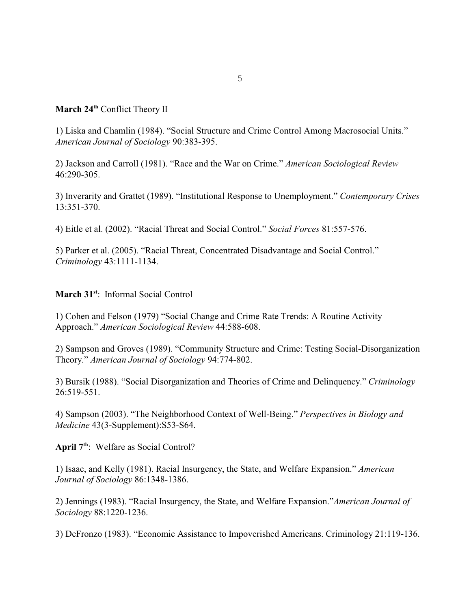# **March 24<sup>th</sup> Conflict Theory II**

1) Liska and Chamlin (1984). "Social Structure and Crime Control Among Macrosocial Units." *American Journal of Sociology* 90:383-395.

2) Jackson and Carroll (1981). "Race and the War on Crime." *American Sociological Review* 46:290-305.

3) Inverarity and Grattet (1989). "Institutional Response to Unemployment." *Contemporary Crises* 13:351-370.

4) Eitle et al. (2002). "Racial Threat and Social Control." *Social Forces* 81:557-576.

5) Parker et al. (2005). "Racial Threat, Concentrated Disadvantage and Social Control." *Criminology* 43:1111-1134.

## **March 31<sup>st</sup>**: Informal Social Control

1) Cohen and Felson (1979) "Social Change and Crime Rate Trends: A Routine Activity Approach." *American Sociological Review* 44:588-608.

2) Sampson and Groves (1989). "Community Structure and Crime: Testing Social-Disorganization Theory." *American Journal of Sociology* 94:774-802.

3) Bursik (1988). "Social Disorganization and Theories of Crime and Delinquency." *Criminology* 26:519-551.

4) Sampson (2003). "The Neighborhood Context of Well-Being." *Perspectives in Biology and Medicine* 43(3-Supplement):S53-S64.

April 7<sup>th</sup>: Welfare as Social Control?

1) Isaac, and Kelly (1981). Racial Insurgency, the State, and Welfare Expansion." *American Journal of Sociology* 86:1348-1386.

2) Jennings (1983). "Racial Insurgency, the State, and Welfare Expansion."*American Journal of Sociology* 88:1220-1236.

3) DeFronzo (1983). "Economic Assistance to Impoverished Americans. Criminology 21:119-136.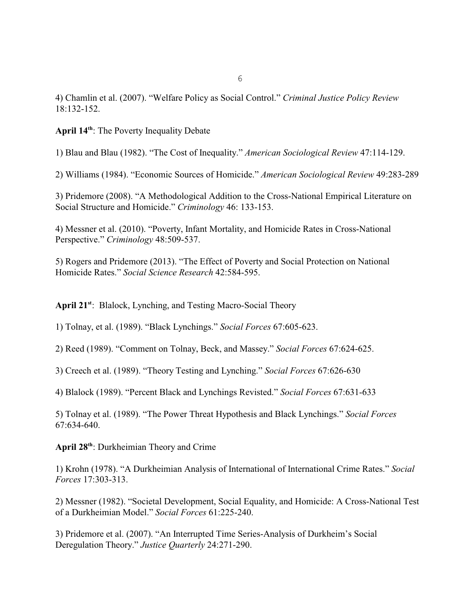6

4) Chamlin et al. (2007). "Welfare Policy as Social Control." *Criminal Justice Policy Review* 18:132-152.

April 14<sup>th</sup>: The Poverty Inequality Debate

1) Blau and Blau (1982). "The Cost of Inequality." *American Sociological Review* 47:114-129.

2) Williams (1984). "Economic Sources of Homicide." *American Sociological Review* 49:283-289

3) Pridemore (2008). "A Methodological Addition to the Cross-National Empirical Literature on Social Structure and Homicide." *Criminology* 46: 133-153.

4) Messner et al. (2010). "Poverty, Infant Mortality, and Homicide Rates in Cross-National Perspective." *Criminology* 48:509-537.

5) Rogers and Pridemore (2013). "The Effect of Poverty and Social Protection on National Homicide Rates." *Social Science Research* 42:584-595.

April 21<sup>st</sup>: Blalock, Lynching, and Testing Macro-Social Theory

1) Tolnay, et al. (1989). "Black Lynchings." *Social Forces* 67:605-623.

2) Reed (1989). "Comment on Tolnay, Beck, and Massey." *Social Forces* 67:624-625.

3) Creech et al. (1989). "Theory Testing and Lynching." *Social Forces* 67:626-630

4) Blalock (1989). "Percent Black and Lynchings Revisted." *Social Forces* 67:631-633

5) Tolnay et al. (1989). "The Power Threat Hypothesis and Black Lynchings." *Social Forces* 67:634-640.

April 28<sup>th</sup>: Durkheimian Theory and Crime

1) Krohn (1978). "A Durkheimian Analysis of International of International Crime Rates." *Social Forces* 17:303-313.

2) Messner (1982). "Societal Development, Social Equality, and Homicide: A Cross-National Test of a Durkheimian Model." *Social Forces* 61:225-240.

3) Pridemore et al. (2007). "An Interrupted Time Series-Analysis of Durkheim's Social Deregulation Theory." *Justice Quarterly* 24:271-290.